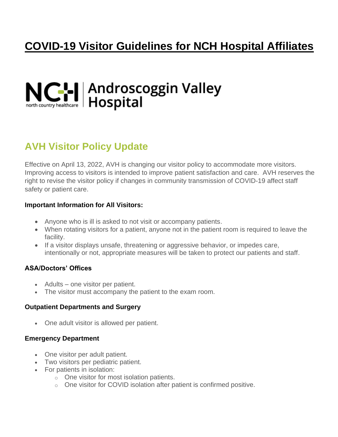# **COVID-19 Visitor Guidelines for NCH Hospital Affiliates**

# NCH Androscoggin Valley

# **AVH Visitor Policy Update**

Effective on April 13, 2022, AVH is changing our visitor policy to accommodate more visitors. Improving access to visitors is intended to improve patient satisfaction and care. AVH reserves the right to revise the visitor policy if changes in community transmission of COVID-19 affect staff safety or patient care.

#### **Important Information for All Visitors:**

- Anyone who is ill is asked to not visit or accompany patients.
- When rotating visitors for a patient, anyone not in the patient room is required to leave the facility.
- If a visitor displays unsafe, threatening or aggressive behavior, or impedes care, intentionally or not, appropriate measures will be taken to protect our patients and staff.

# **ASA/Doctors' Offices**

- Adults one visitor per patient.
- The visitor must accompany the patient to the exam room.

## **Outpatient Departments and Surgery**

• One adult visitor is allowed per patient.

## **Emergency Department**

- One visitor per adult patient.
- Two visitors per pediatric patient.
- For patients in isolation:
	- o One visitor for most isolation patients.
	- o One visitor for COVID isolation after patient is confirmed positive.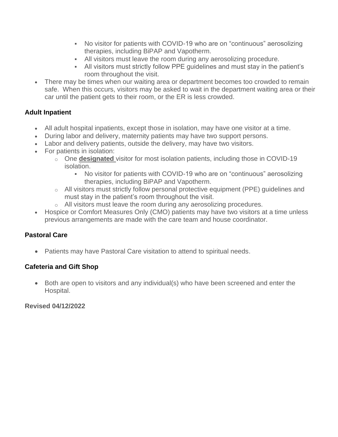- No visitor for patients with COVID-19 who are on "continuous" aerosolizing therapies, including BiPAP and Vapotherm.
- **EXECT** All visitors must leave the room during any aerosolizing procedure.
- **EXEL All visitors must strictly follow PPE guidelines and must stay in the patient's** room throughout the visit.
- There may be times when our waiting area or department becomes too crowded to remain safe. When this occurs, visitors may be asked to wait in the department waiting area or their car until the patient gets to their room, or the ER is less crowded.

# **Adult Inpatient**

- All adult hospital inpatients, except those in isolation, may have one visitor at a time.
- During labor and delivery, maternity patients may have two support persons.
- Labor and delivery patients, outside the delivery, may have two visitors.
- For patients in isolation:
	- o One **designated** visitor for most isolation patients, including those in COVID-19 isolation.
		- No visitor for patients with COVID-19 who are on "continuous" aerosolizing therapies, including BiPAP and Vapotherm.
	- o All visitors must strictly follow personal protective equipment (PPE) guidelines and must stay in the patient's room throughout the visit.
	- o All visitors must leave the room during any aerosolizing procedures.
- Hospice or Comfort Measures Only (CMO) patients may have two visitors at a time unless previous arrangements are made with the care team and house coordinator.

## **Pastoral Care**

• Patients may have Pastoral Care visitation to attend to spiritual needs.

## **Cafeteria and Gift Shop**

• Both are open to visitors and any individual(s) who have been screened and enter the Hospital.

## **Revised 04/12/2022**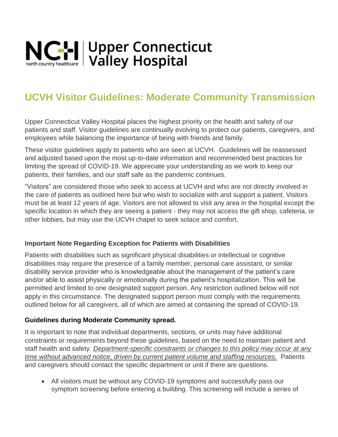

# **UCVH Visitor Guidelines: Moderate Community Transmission**

Upper Connecticut Valley Hospital places the highest priority on the health and safety of our patients and staff. Visitor guidelines are continually evolving to protect our patients, caregivers, and employees while balancing the importance of being with friends and family.

These visitor guidelines apply to patients who are seen at UCVH. Guidelines will be reassessed and adjusted based upon the most up-to-date information and recommended best practices for limiting the spread of COVID-19. We appreciate your understanding as we work to keep our patients, their families, and our staff safe as the pandemic continues.

"Visitors" are considered those who seek to access at UCVH and who are not directly involved in the care of patients as outlined here but who wish to socialize with and support a patient. Visitors must be at least 12 years of age. Visitors are not allowed to visit any area in the hospital except the specific location in which they are seeing a patient - they may not access the gift shop, cafeteria, or other lobbies, but may use the UCVH chapel to seek solace and comfort.

## **Important Note Regarding Exception for Patients with Disabilities**

Patients with disabilities such as significant physical disabilities or intellectual or cognitive disabilities may require the presence of a family member, personal care assistant, or similar disability service provider who is knowledgeable about the management of the patient's care and/or able to assist physically or emotionally during the patient's hospitalization. This will be permitted and limited to one designated support person. Any restriction outlined below will not apply in this circumstance. The designated support person must comply with the requirements outlined below for all caregivers, all of which are aimed at containing the spread of COVID-19.

## **Guidelines during Moderate Community spread.**

It is important to note that individual departments, sections, or units may have additional constraints or requirements beyond these guidelines, based on the need to maintain patient and staff health and safety. *Department-specific constraints or changes to this policy may occur at any time without advanced notice, driven by current patient volume and staffing resources.* Patients and caregivers should contact the specific department or unit if there are questions.

• All visitors must be without any COVID-19 symptoms and successfully pass our symptom screening before entering a building. This screening will include a series of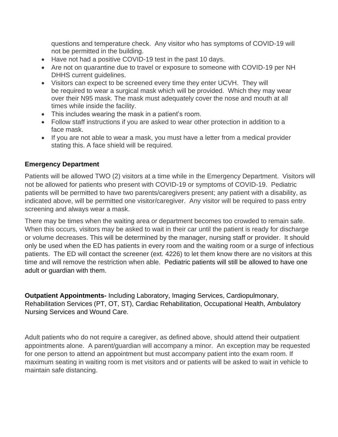questions and temperature check. Any visitor who has symptoms of COVID-19 will not be permitted in the building.

- Have not had a positive COVID-19 test in the past 10 days.
- Are not on quarantine due to travel or exposure to someone with COVID-19 per NH DHHS current guidelines.
- Visitors can expect to be screened every time they enter UCVH. They will be required to wear a surgical mask which will be provided. Which they may wear over their N95 mask. The mask must adequately cover the nose and mouth at all times while inside the facility.
- This includes wearing the mask in a patient's room.
- Follow staff instructions if you are asked to wear other protection in addition to a face mask.
- If you are not able to wear a mask, you must have a letter from a medical provider stating this. A face shield will be required.

# **Emergency Department**

Patients will be allowed TWO (2) visitors at a time while in the Emergency Department. Visitors will not be allowed for patients who present with COVID-19 or symptoms of COVID-19. Pediatric patients will be permitted to have two parents/caregivers present; any patient with a disability, as indicated above, will be permitted one visitor/caregiver. Any visitor will be required to pass entry screening and always wear a mask.

There may be times when the waiting area or department becomes too crowded to remain safe. When this occurs, visitors may be asked to wait in their car until the patient is ready for discharge or volume decreases. This will be determined by the manager, nursing staff or provider. It should only be used when the ED has patients in every room and the waiting room or a surge of infectious patients. The ED will contact the screener (ext. 4226) to let them know there are no visitors at this time and will remove the restriction when able. Pediatric patients will still be allowed to have one adult or guardian with them.

**Outpatient Appointments-** Including Laboratory, Imaging Services, Cardiopulmonary, Rehabilitation Services (PT, OT, ST), Cardiac Rehabilitation, Occupational Health, Ambulatory Nursing Services and Wound Care.

Adult patients who do not require a caregiver, as defined above, should attend their outpatient appointments alone. A parent/guardian will accompany a minor. An exception may be requested for one person to attend an appointment but must accompany patient into the exam room. If maximum seating in waiting room is met visitors and or patients will be asked to wait in vehicle to maintain safe distancing.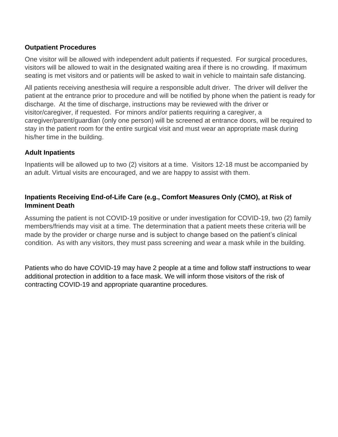# **Outpatient Procedures**

One visitor will be allowed with independent adult patients if requested. For surgical procedures, visitors will be allowed to wait in the designated waiting area if there is no crowding. If maximum seating is met visitors and or patients will be asked to wait in vehicle to maintain safe distancing.

All patients receiving anesthesia will require a responsible adult driver. The driver will deliver the patient at the entrance prior to procedure and will be notified by phone when the patient is ready for discharge. At the time of discharge, instructions may be reviewed with the driver or visitor/caregiver, if requested. For minors and/or patients requiring a caregiver, a caregiver/parent/guardian (only one person) will be screened at entrance doors, will be required to stay in the patient room for the entire surgical visit and must wear an appropriate mask during his/her time in the building.

## **Adult Inpatients**

Inpatients will be allowed up to two (2) visitors at a time. Visitors 12-18 must be accompanied by an adult. Virtual visits are encouraged, and we are happy to assist with them.

# **Inpatients Receiving End-of-Life Care (e.g., Comfort Measures Only (CMO), at Risk of Imminent Death**

Assuming the patient is not COVID-19 positive or under investigation for COVID-19, two (2) family members/friends may visit at a time. The determination that a patient meets these criteria will be made by the provider or charge nurse and is subject to change based on the patient's clinical condition. As with any visitors, they must pass screening and wear a mask while in the building.

Patients who do have COVID-19 may have 2 people at a time and follow staff instructions to wear additional protection in addition to a face mask. We will inform those visitors of the risk of contracting COVID-19 and appropriate quarantine procedures.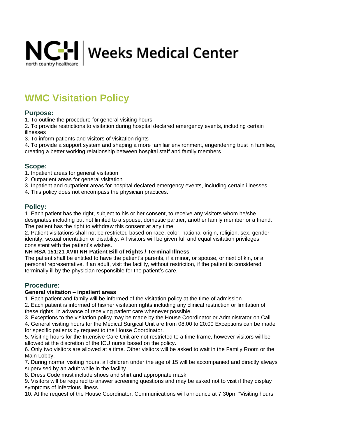

# **WMC Visitation Policy**

#### **Purpose:**

1. To outline the procedure for general visiting hours

2. To provide restrictions to visitation during hospital declared emergency events, including certain illnesses

3. To inform patients and visitors of visitation rights

4. To provide a support system and shaping a more familiar environment, engendering trust in families, creating a better working relationship between hospital staff and family members.

#### **Scope:**

- 1. Inpatient areas for general visitation
- 2. Outpatient areas for general visitation
- 3. Inpatient and outpatient areas for hospital declared emergency events, including certain illnesses
- 4. This policy does not encompass the physician practices.

#### **Policy:**

1. Each patient has the right, subject to his or her consent, to receive any visitors whom he/she designates including but not limited to a spouse, domestic partner, another family member or a friend. The patient has the right to withdraw this consent at any time.

2. Patient visitations shall not be restricted based on race, color, national origin, religion, sex, gender identity, sexual orientation or disability. All visitors will be given full and equal visitation privileges consistent with the patient's wishes.

#### **NH RSA 151:21 XVIII NH Patient Bill of Rights / Terminal Illness**

The patient shall be entitled to have the patient's parents, if a minor, or spouse, or next of kin, or a personal representative, if an adult, visit the facility, without restriction, if the patient is considered terminally ill by the physician responsible for the patient's care.

#### **Procedure:**

#### **General visitation – inpatient areas**

1. Each patient and family will be informed of the visitation policy at the time of admission.

2. Each patient is informed of his/her visitation rights including any clinical restriction or limitation of these rights, in advance of receiving patient care whenever possible.

3. Exceptions to the visitation policy may be made by the House Coordinator or Administrator on Call.

4. General visiting hours for the Medical Surgical Unit are from 08:00 to 20:00 Exceptions can be made for specific patients by request to the House Coordinator.

5. Visiting hours for the Intensive Care Unit are not restricted to a time frame, however visitors will be allowed at the discretion of the ICU nurse based on the policy.

6. Only two visitors are allowed at a time. Other visitors will be asked to wait in the Family Room or the Main Lobby.

7. During normal visiting hours, all children under the age of 15 will be accompanied and directly always supervised by an adult while in the facility.

8. Dress Code must include shoes and shirt and appropriate mask.

9. Visitors will be required to answer screening questions and may be asked not to visit if they display symptoms of infectious illness.

10. At the request of the House Coordinator, Communications will announce at 7:30pm "Visiting hours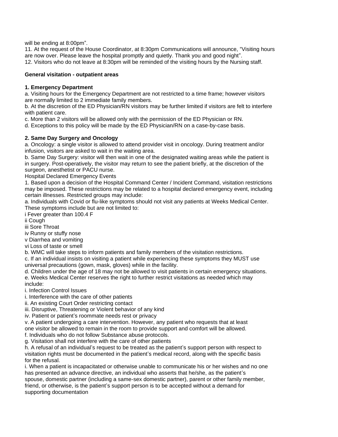will be ending at 8:00pm".

11. At the request of the House Coordinator, at 8:30pm Communications will announce, "Visiting hours are now over. Please leave the hospital promptly and quietly. Thank you and good night".

12. Visitors who do not leave at 8:30pm will be reminded of the visiting hours by the Nursing staff.

#### **General visitation - outpatient areas**

#### **1. Emergency Department**

a. Visiting hours for the Emergency Department are not restricted to a time frame; however visitors are normally limited to 2 immediate family members.

b. At the discretion of the ED Physician/RN visitors may be further limited if visitors are felt to interfere with patient care.

c. More than 2 visitors will be allowed only with the permission of the ED Physician or RN.

d. Exceptions to this policy will be made by the ED Physician/RN on a case-by-case basis.

#### **2. Same Day Surgery and Oncology**

a. Oncology: a single visitor is allowed to attend provider visit in oncology. During treatment and/or infusion, visitors are asked to wait in the waiting area.

b. Same Day Surgery: visitor will then wait in one of the designated waiting areas while the patient is in surgery. Post-operatively, the visitor may return to see the patient briefly, at the discretion of the surgeon, anesthetist or PACU nurse.

Hospital Declared Emergency Events

1. Based upon a decision of the Hospital Command Center / Incident Command, visitation restrictions may be imposed. These restrictions may be related to a hospital declared emergency event, including certain illnesses. Restricted groups may include:

a. Individuals with Covid or flu-like symptoms should not visit any patients at Weeks Medical Center. These symptoms include but are not limited to:

i Fever greater than 100.4 F

ii Cough

iii Sore Throat

iv Runny or stuffy nose

v Diarrhea and vomiting

vi Loss of taste or smell

b. WMC will take steps to inform patients and family members of the visitation restrictions.

c. If an individual insists on visiting a patient while experiencing these symptoms they MUST use universal precautions (gown, mask, gloves) while in the facility.

d. Children under the age of 18 may not be allowed to visit patients in certain emergency situations. e. Weeks Medical Center reserves the right to further restrict visitations as needed which may include:

i. Infection Control Issues

i. Interference with the care of other patients

ii. An existing Court Order restricting contact

iii. Disruptive, Threatening or Violent behavior of any kind

iv. Patient or patient's roommate needs rest or privacy

v. A patient undergoing a care intervention. However, any patient who requests that at least one visitor be allowed to remain in the room to provide support and comfort will be allowed. f. Individuals who do not follow Substance abuse protocols.

g. Visitation shall not interfere with the care of other patients

h. A refusal of an individual's request to be treated as the patient's support person with respect to visitation rights must be documented in the patient's medical record, along with the specific basis for the refusal.

i. When a patient is incapacitated or otherwise unable to communicate his or her wishes and no one has presented an advance directive, an individual who asserts that he/she, as the patient's spouse, domestic partner (including a same-sex domestic partner), parent or other family member, friend, or otherwise, is the patient's support person is to be accepted without a demand for supporting documentation